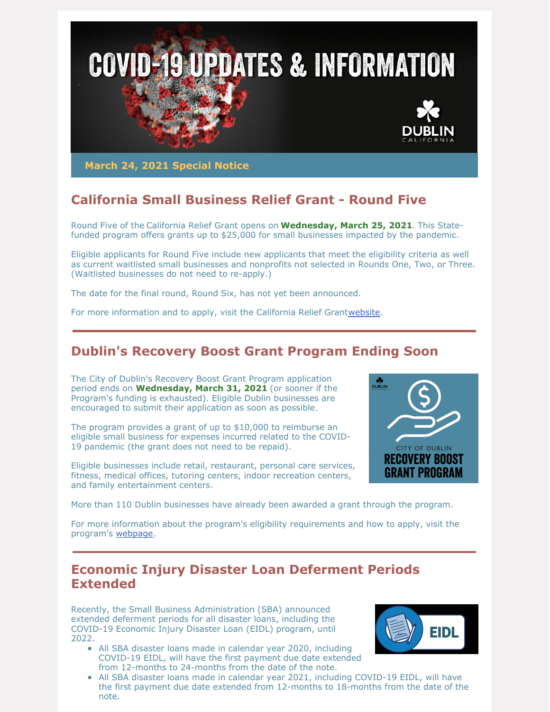

**March 24, 2021 Special Notice**

# **California Small Business Relief Grant - Round Five**

Round Five of the California Relief Grant opens on **Wednesday, March 25, 2021**. This Statefunded program offers grants up to \$25,000 for small businesses impacted by the pandemic.

Eligible applicants for Round Five include new applicants that meet the eligibility criteria as well as current waitlisted small businesses and nonprofits not selected in Rounds One, Two, or Three. (Waitlisted businesses do not need to re-apply.)

The date for the final round, Round Six, has not yet been announced.

For more information and to apply, visit the California Relief Grant[website](https://careliefgrant.com/).

## **Dublin's Recovery Boost Grant Program Ending Soon**

The City of Dublin's Recovery Boost Grant Program application period ends on **Wednesday, March 31, 2021** (or sooner if the Program's funding is exhausted). Eligible Dublin businesses are encouraged to submit their application as soon as possible.

The program provides a grant of up to \$10,000 to reimburse an eligible small business for expenses incurred related to the COVID-19 pandemic (the grant does not need to be repaid).

Eligible businesses include retail, restaurant, personal care services, fitness, medical offices, tutoring centers, indoor recreation centers, and family entertainment centers.



More than 110 Dublin businesses have already been awarded a grant through the program.

For more information about the program's eligibility requirements and how to apply, visit the program's [webpage](https://dublin.ca.gov/recoveryboostgrant).

### **Economic Injury Disaster Loan Deferment Periods Extended**

Recently, the Small Business Administration (SBA) announced extended deferment periods for all disaster loans, including the COVID-19 Economic Injury Disaster Loan (EIDL) program, until 2022.

All SBA disaster loans made in calendar year 2020, including COVID-19 EIDL, will have the first payment due date extended from 12-months to 24-months from the date of the note.



• All SBA disaster loans made in calendar year 2021, including COVID-19 EIDL, will have the first payment due date extended from 12-months to 18-months from the date of the note.